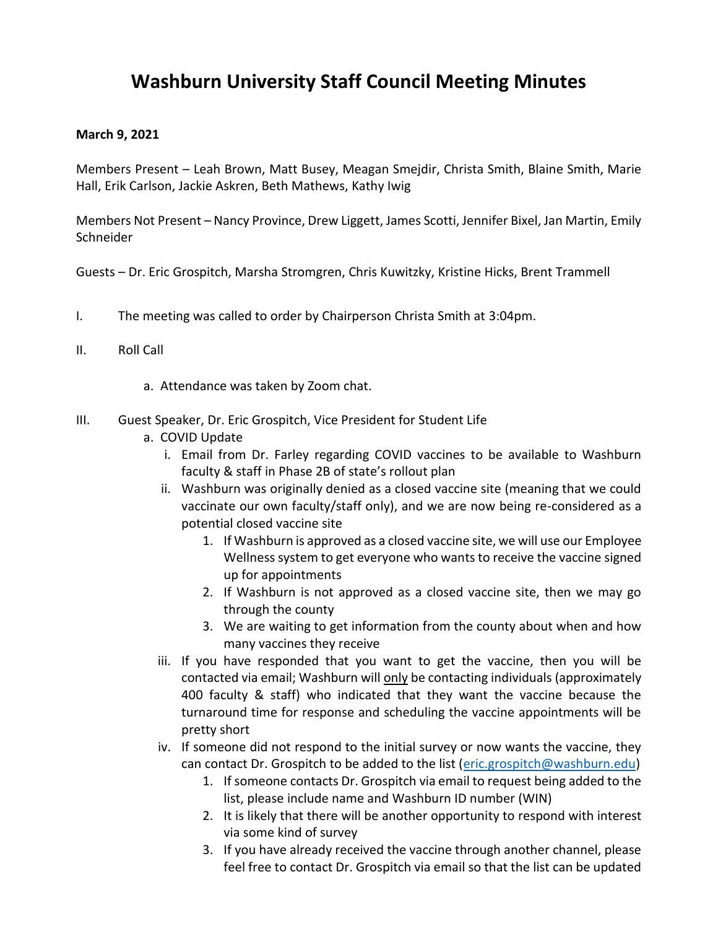## **Washburn University Staff Council Meeting Minutes**

## **March 9, 2021**

Members Present – Leah Brown, Matt Busey, Meagan Smejdir, Christa Smith, Blaine Smith, Marie Hall, Erik Carlson, Jackie Askren, Beth Mathews, Kathy Iwig

Members Not Present – Nancy Province, Drew Liggett, James Scotti, Jennifer Bixel, Jan Martin, Emily **Schneider** 

Guests – Dr. Eric Grospitch, Marsha Stromgren, Chris Kuwitzky, Kristine Hicks, Brent Trammell

- I. The meeting was called to order by Chairperson Christa Smith at 3:04pm.
- II. Roll Call
	- a. Attendance was taken by Zoom chat.
- III. Guest Speaker, Dr. Eric Grospitch, Vice President for Student Life
	- a. COVID Update
		- i. Email from Dr. Farley regarding COVID vaccines to be available to Washburn faculty & staff in Phase 2B of state's rollout plan
		- ii. Washburn was originally denied as a closed vaccine site (meaning that we could vaccinate our own faculty/staff only), and we are now being re-considered as a potential closed vaccine site
			- 1. If Washburn is approved as a closed vaccine site, we will use our Employee Wellness system to get everyone who wants to receive the vaccine signed up for appointments
			- 2. If Washburn is not approved as a closed vaccine site, then we may go through the county
			- 3. We are waiting to get information from the county about when and how many vaccines they receive
		- iii. If you have responded that you want to get the vaccine, then you will be contacted via email; Washburn will only be contacting individuals (approximately 400 faculty & staff) who indicated that they want the vaccine because the turnaround time for response and scheduling the vaccine appointments will be pretty short
		- iv. If someone did not respond to the initial survey or now wants the vaccine, they can contact Dr. Grospitch to be added to the list [\(eric.grospitch@washburn.edu\)](mailto:eric.grospitch@washburn.edu)
			- 1. If someone contacts Dr. Grospitch via email to request being added to the list, please include name and Washburn ID number (WIN)
			- 2. It is likely that there will be another opportunity to respond with interest via some kind of survey
			- 3. If you have already received the vaccine through another channel, please feel free to contact Dr. Grospitch via email so that the list can be updated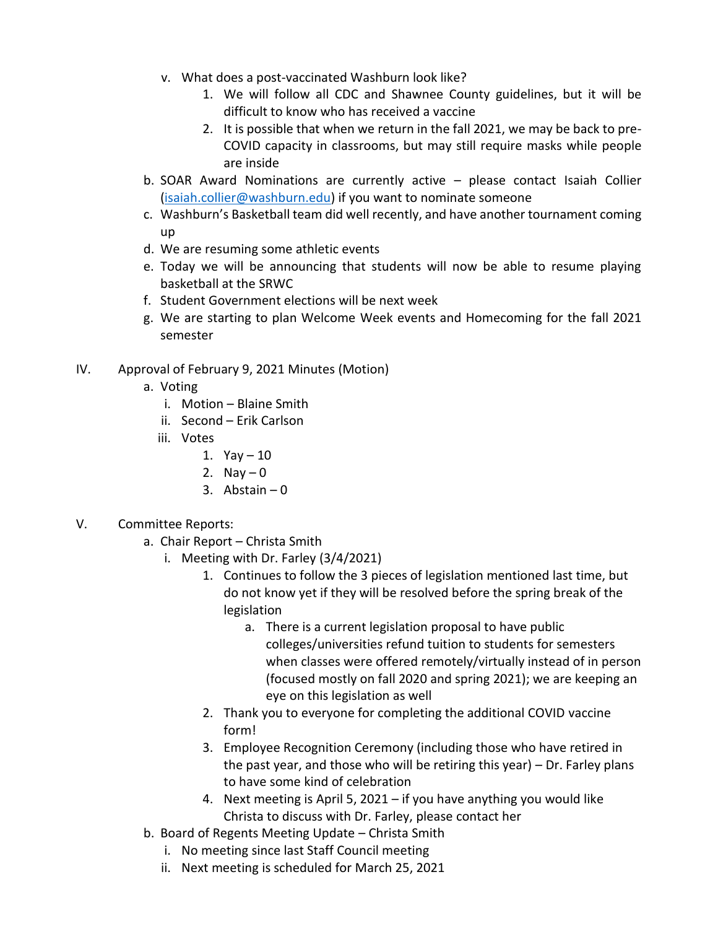- v. What does a post-vaccinated Washburn look like?
	- 1. We will follow all CDC and Shawnee County guidelines, but it will be difficult to know who has received a vaccine
	- 2. It is possible that when we return in the fall 2021, we may be back to pre-COVID capacity in classrooms, but may still require masks while people are inside
- b. SOAR Award Nominations are currently active please contact Isaiah Collier [\(isaiah.collier@washburn.edu\)](mailto:isaiah.collier@washburn.edu) if you want to nominate someone
- c. Washburn's Basketball team did well recently, and have another tournament coming up
- d. We are resuming some athletic events
- e. Today we will be announcing that students will now be able to resume playing basketball at the SRWC
- f. Student Government elections will be next week
- g. We are starting to plan Welcome Week events and Homecoming for the fall 2021 semester
- IV. Approval of February 9, 2021 Minutes (Motion)
	- a. Voting
		- i. Motion Blaine Smith
		- ii. Second Erik Carlson
		- iii. Votes
			- 1.  $Yay 10$
			- 2. Nay  $-0$
			- 3. Abstain  $-0$
- V. Committee Reports:
	- a. Chair Report Christa Smith
		- i. Meeting with Dr. Farley (3/4/2021)
			- 1. Continues to follow the 3 pieces of legislation mentioned last time, but do not know yet if they will be resolved before the spring break of the legislation
				- a. There is a current legislation proposal to have public colleges/universities refund tuition to students for semesters when classes were offered remotely/virtually instead of in person (focused mostly on fall 2020 and spring 2021); we are keeping an eye on this legislation as well
			- 2. Thank you to everyone for completing the additional COVID vaccine form!
			- 3. Employee Recognition Ceremony (including those who have retired in the past year, and those who will be retiring this year) – Dr. Farley plans to have some kind of celebration
			- 4. Next meeting is April 5, 2021 if you have anything you would like Christa to discuss with Dr. Farley, please contact her
	- b. Board of Regents Meeting Update Christa Smith
		- i. No meeting since last Staff Council meeting
		- ii. Next meeting is scheduled for March 25, 2021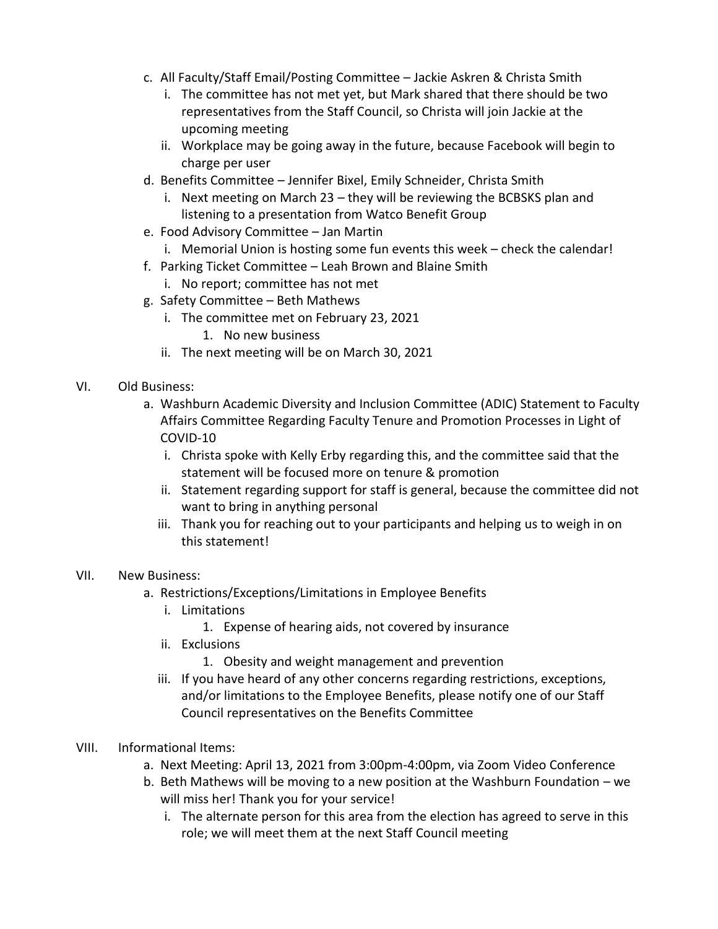- c. All Faculty/Staff Email/Posting Committee Jackie Askren & Christa Smith
	- i. The committee has not met yet, but Mark shared that there should be two representatives from the Staff Council, so Christa will join Jackie at the upcoming meeting
	- ii. Workplace may be going away in the future, because Facebook will begin to charge per user
- d. Benefits Committee Jennifer Bixel, Emily Schneider, Christa Smith
	- i. Next meeting on March 23 they will be reviewing the BCBSKS plan and listening to a presentation from Watco Benefit Group
- e. Food Advisory Committee Jan Martin
	- i. Memorial Union is hosting some fun events this week check the calendar!
- f. Parking Ticket Committee Leah Brown and Blaine Smith
	- i. No report; committee has not met
- g. Safety Committee Beth Mathews
	- i. The committee met on February 23, 2021
		- 1. No new business
	- ii. The next meeting will be on March 30, 2021
- VI. Old Business:
	- a. Washburn Academic Diversity and Inclusion Committee (ADIC) Statement to Faculty Affairs Committee Regarding Faculty Tenure and Promotion Processes in Light of COVID-10
		- i. Christa spoke with Kelly Erby regarding this, and the committee said that the statement will be focused more on tenure & promotion
		- ii. Statement regarding support for staff is general, because the committee did not want to bring in anything personal
		- iii. Thank you for reaching out to your participants and helping us to weigh in on this statement!
- VII. New Business:
	- a. Restrictions/Exceptions/Limitations in Employee Benefits
		- i. Limitations
			- 1. Expense of hearing aids, not covered by insurance
		- ii. Exclusions
			- 1. Obesity and weight management and prevention
		- iii. If you have heard of any other concerns regarding restrictions, exceptions, and/or limitations to the Employee Benefits, please notify one of our Staff Council representatives on the Benefits Committee
- VIII. Informational Items:
	- a. Next Meeting: April 13, 2021 from 3:00pm-4:00pm, via Zoom Video Conference
	- b. Beth Mathews will be moving to a new position at the Washburn Foundation we will miss her! Thank you for your service!
		- i. The alternate person for this area from the election has agreed to serve in this role; we will meet them at the next Staff Council meeting